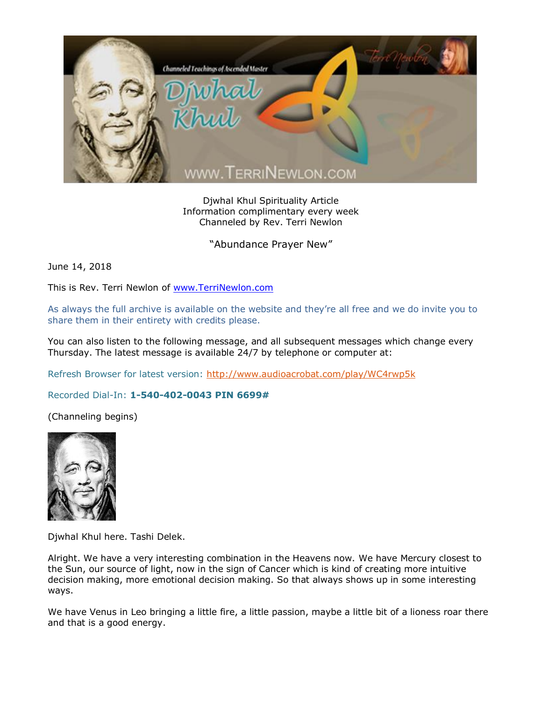

Djwhal Khul Spirituality Article Information complimentary every week Channeled by Rev. Terri Newlon

"Abundance Prayer New"

June 14, 2018

This is Rev. Terri Newlon of [www.TerriNewlon.com](http://www.terrinewlon.com/)

As always the full archive is available on the website and they're all free and we do invite you to share them in their entirety with credits please.

You can also listen to the following message, and all subsequent messages which change every Thursday. The latest message is available 24/7 by telephone or computer at:

Refresh Browser for latest version:<http://www.audioacrobat.com/play/WC4rwp5k>

Recorded Dial-In: **1-540-402-0043 PIN 6699#**

(Channeling begins)



Djwhal Khul here. Tashi Delek.

Alright. We have a very interesting combination in the Heavens now. We have Mercury closest to the Sun, our source of light, now in the sign of Cancer which is kind of creating more intuitive decision making, more emotional decision making. So that always shows up in some interesting ways.

We have Venus in Leo bringing a little fire, a little passion, maybe a little bit of a lioness roar there and that is a good energy.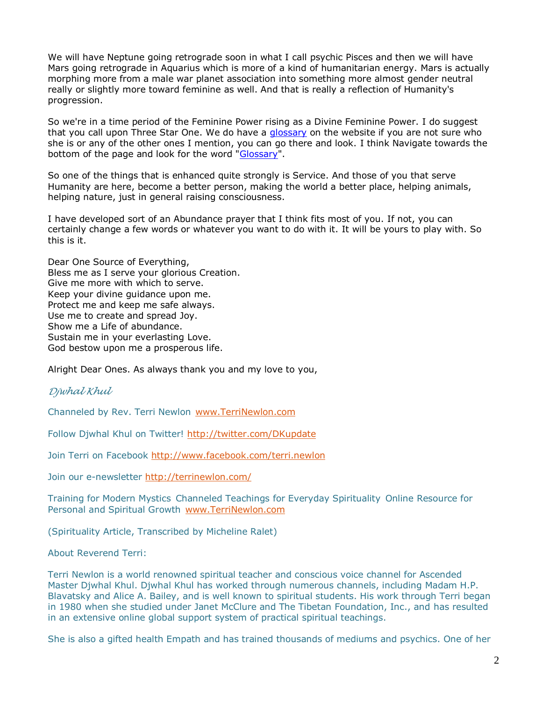We will have Neptune going retrograde soon in what I call psychic Pisces and then we will have Mars going retrograde in Aquarius which is more of a kind of humanitarian energy. Mars is actually morphing more from a male war planet association into something more almost gender neutral really or slightly more toward feminine as well. And that is really a reflection of Humanity's progression.

So we're in a time period of the Feminine Power rising as a Divine Feminine Power. I do suggest that you call upon Three Star One. We do have a [glossary](http://www.terrinewlon.com/glossary.php) on the website if you are not sure who she is or any of the other ones I mention, you can go there and look. I think Navigate towards the bottom of the page and look for the word ["Glossary"](http://www.terrinewlon.com/glossary.php).

So one of the things that is enhanced quite strongly is Service. And those of you that serve Humanity are here, become a better person, making the world a better place, helping animals, helping nature, just in general raising consciousness.

I have developed sort of an Abundance prayer that I think fits most of you. If not, you can certainly change a few words or whatever you want to do with it. It will be yours to play with. So this is it.

Dear One Source of Everything, Bless me as I serve your glorious Creation. Give me more with which to serve. Keep your divine guidance upon me. Protect me and keep me safe always. Use me to create and spread Joy. Show me a Life of abundance. Sustain me in your everlasting Love. God bestow upon me a prosperous life.

Alright Dear Ones. As always thank you and my love to you,

## *Djwhal Khul*

Channeled by Rev. Terri Newlon [www.TerriNewlon.com](http://www.terrinewlon.com/)

Follow Djwhal Khul on Twitter!<http://twitter.com/DKupdate>

Join Terri on Facebook<http://www.facebook.com/terri.newlon>

Join our e-newsletter<http://terrinewlon.com/>

Training for Modern Mystics Channeled Teachings for Everyday Spirituality Online Resource for Personal and Spiritual Growth [www.TerriNewlon.com](http://www.terrinewlon.com/)

(Spirituality Article, Transcribed by Micheline Ralet)

About Reverend Terri:

Terri Newlon is a world renowned spiritual teacher and conscious voice channel for Ascended Master Djwhal Khul. Djwhal Khul has worked through numerous channels, including Madam H.P. Blavatsky and Alice A. Bailey, and is well known to spiritual students. His work through Terri began in 1980 when she studied under Janet McClure and The Tibetan Foundation, Inc., and has resulted in an extensive online global support system of practical spiritual teachings.

She is also a gifted health Empath and has trained thousands of mediums and psychics. One of her